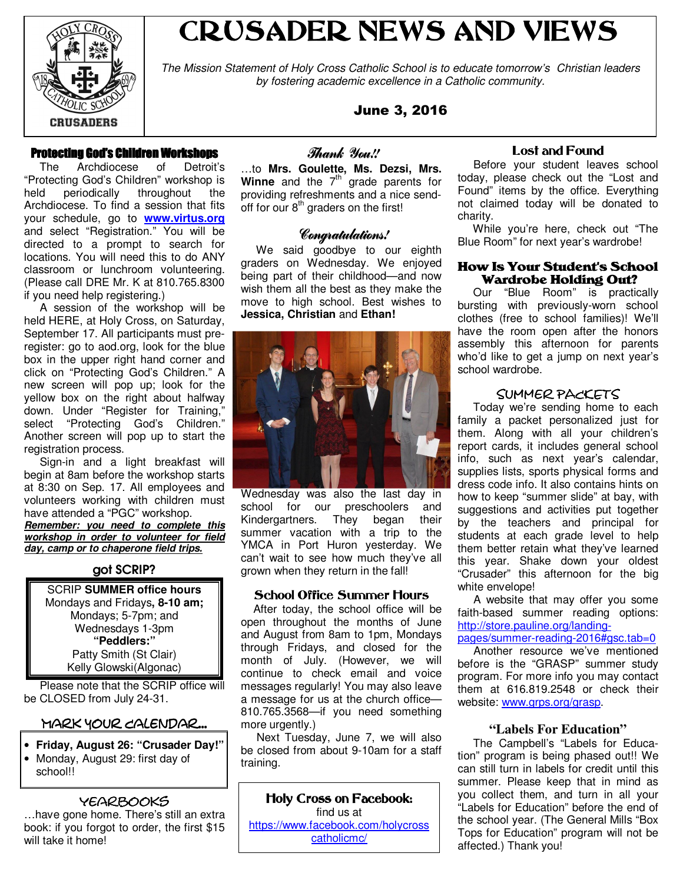

# CRUSADER NEWS AND VIEWS

The Mission Statement of Holy Cross Catholic School is to educate tomorrow's Christian leaders by fostering academic excellence in a Catholic community.

June 3, 2016

## Protecting God's Children Workshops

 The Archdiocese of Detroit's "Protecting God's Children" workshop is held periodically throughout the Archdiocese. To find a session that fits your schedule, go to **www.virtus.org** and select "Registration." You will be directed to a prompt to search for locations. You will need this to do ANY classroom or lunchroom volunteering. (Please call DRE Mr. K at 810.765.8300 if you need help registering.)

 A session of the workshop will be held HERE, at Holy Cross, on Saturday, September 17. All participants must preregister: go to aod.org, look for the blue box in the upper right hand corner and click on "Protecting God's Children." A new screen will pop up; look for the yellow box on the right about halfway down. Under "Register for Training," select "Protecting God's Children." Another screen will pop up to start the registration process.

 Sign-in and a light breakfast will begin at 8am before the workshop starts at 8:30 on Sep. 17. All employees and volunteers working with children must have attended a "PGC" workshop. **Remember: you need to complete this workshop in order to volunteer for field day, camp or to chaperone field trips.**

#### got SCRIP?

SCRIP **SUMMER office hours** Mondays and Fridays**, 8-10 am;** Mondays; 5-7pm; and Wednesdays 1-3pm **"Peddlers:"** Patty Smith (St Clair) Kelly Glowski(Algonac)

 Please note that the SCRIP office will be CLOSED from July 24-31.

# Mark Your Calendar...

- **Friday, August 26: "Crusader Day!"**
- Monday, August 29: first day of school!!

# yearbooks

…have gone home. There's still an extra book: if you forgot to order, the first \$15 will take it home!

## Thank You!!

…to **Mrs. Goulette, Ms. Dezsi, Mrs. Winne** and the 7<sup>th</sup> grade parents for providing refreshments and a nice sendoff for our 8<sup>th</sup> graders on the first!

#### Congratulations!

 We said goodbye to our eighth graders on Wednesday. We enjoyed being part of their childhood—and now wish them all the best as they make the move to high school. Best wishes to **Jessica, Christian** and **Ethan!** 



Wednesday was also the last day in school for our preschoolers and Kindergartners. They began their summer vacation with a trip to the YMCA in Port Huron yesterday. We can't wait to see how much they've all grown when they return in the fall!

#### School Office Summer Hours

 After today, the school office will be open throughout the months of June and August from 8am to 1pm, Mondays through Fridays, and closed for the month of July. (However, we will continue to check email and voice messages regularly! You may also leave a message for us at the church office— 810.765.3568—if you need something more urgently.)

 Next Tuesday, June 7, we will also be closed from about 9-10am for a staff training.

Holy Cross on Facebook: find us at https://www.facebook.com/holycross catholicmc/

#### Lost and Found

 Before your student leaves school today, please check out the "Lost and Found" items by the office. Everything not claimed today will be donated to charity.

 While you're here, check out "The Blue Room" for next year's wardrobe!

#### How Is Your Student's School Wardrobe Holding Out?

 Our "Blue Room" is practically bursting with previously-worn school clothes (free to school families)! We'll have the room open after the honors assembly this afternoon for parents who'd like to get a jump on next year's school wardrobe.

## Summer PACKETS

 Today we're sending home to each family a packet personalized just for them. Along with all your children's report cards, it includes general school info, such as next year's calendar, supplies lists, sports physical forms and dress code info. It also contains hints on how to keep "summer slide" at bay, with suggestions and activities put together by the teachers and principal for students at each grade level to help them better retain what they've learned this year. Shake down your oldest "Crusader" this afternoon for the big white envelope!

 A website that may offer you some faith-based summer reading options: http://store.pauline.org/landing-

pages/summer-reading-2016#gsc.tab=0 Another resource we've mentioned before is the "GRASP" summer study program. For more info you may contact them at 616.819.2548 or check their website: www.grps.org/grasp.

#### **"Labels For Education"**

 The Campbell's "Labels for Education" program is being phased out!! We can still turn in labels for credit until this summer. Please keep that in mind as you collect them, and turn in all your "Labels for Education" before the end of the school year. (The General Mills "Box Tops for Education" program will not be affected.) Thank you!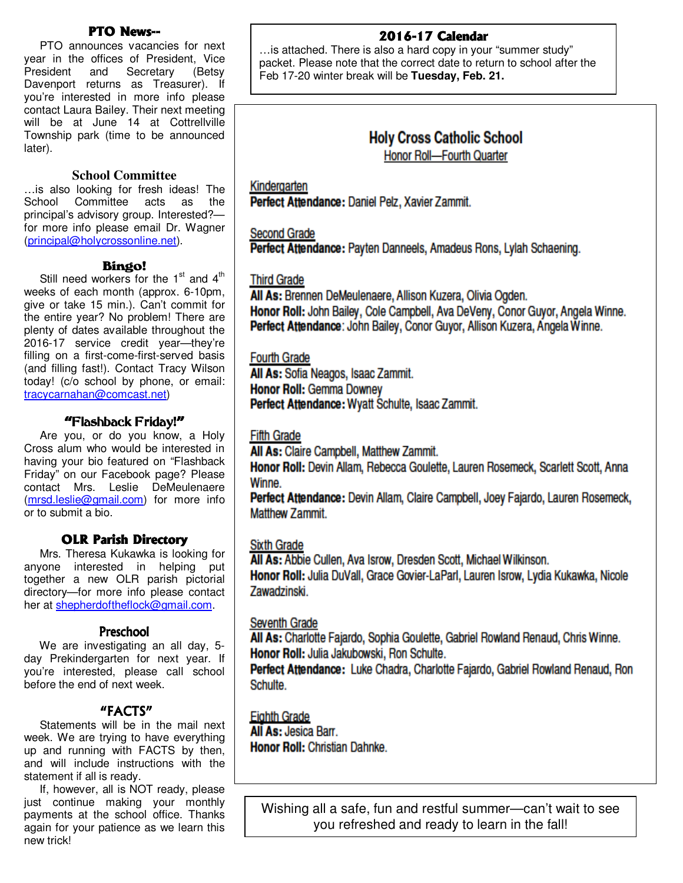# **PTO News--**

 PTO announces vacancies for next year in the offices of President, Vice President and Secretary (Betsy Davenport returns as Treasurer). If you're interested in more info please contact Laura Bailey. Their next meeting will be at June 14 at Cottrellville Township park (time to be announced later).

#### **School Committee**

…is also looking for fresh ideas! The Committee acts as the principal's advisory group. Interested? for more info please email Dr. Wagner (principal@holycrossonline.net).

#### Bingo!

Still need workers for the  $1<sup>st</sup>$  and  $4<sup>th</sup>$ weeks of each month (approx. 6-10pm, give or take 15 min.). Can't commit for the entire year? No problem! There are plenty of dates available throughout the 2016-17 service credit year—they're filling on a first-come-first-served basis (and filling fast!). Contact Tracy Wilson today! (c/o school by phone, or email: tracycarnahan@comcast.net)

## "Flashback Friday!"

 Are you, or do you know, a Holy Cross alum who would be interested in having your bio featured on "Flashback Friday" on our Facebook page? Please contact Mrs. Leslie DeMeulenaere (mrsd.leslie@gmail.com) for more info or to submit a bio.

#### **OLR Parish Directory**

 Mrs. Theresa Kukawka is looking for anyone interested in helping put together a new OLR parish pictorial directory—for more info please contact her at shepherdoftheflock@gmail.com.

#### **Preschool**

 We are investigating an all day, 5 day Prekindergarten for next year. If you're interested, please call school before the end of next week.

#### "FACTS"

 Statements will be in the mail next week. We are trying to have everything up and running with FACTS by then, and will include instructions with the statement if all is ready.

 If, however, all is NOT ready, please just continue making your monthly payments at the school office. Thanks again for your patience as we learn this new trick!

# 2016-17 Calendar

…is attached. There is also a hard copy in your "summer study" packet. Please note that the correct date to return to school after the Feb 17-20 winter break will be **Tuesday, Feb. 21.** 

# **Holy Cross Catholic School Honor Roll-Fourth Quarter**

Kindergarten

Perfect Attendance: Daniel Pelz, Xavier Zammit.

**Second Grade** 

Perfect Attendance: Payten Danneels, Amadeus Rons, Lylah Schaening.

#### **Third Grade**

All As: Brennen DeMeulenaere, Allison Kuzera, Olivia Ogden. Honor Roll: John Bailey, Cole Campbell, Ava DeVeny, Conor Guyor, Angela Winne. Perfect Attendance: John Bailey, Conor Guyor, Allison Kuzera, Angela Winne.

#### **Fourth Grade**

All As: Sofia Neagos, Isaac Zammit. **Honor Roll: Gemma Downey** Perfect Attendance: Wyatt Schulte, Isaac Zammit.

**Fifth Grade** 

All As: Claire Campbell, Matthew Zammit.

Honor Roll: Devin Allam, Rebecca Goulette, Lauren Rosemeck, Scarlett Scott, Anna Winne.

Perfect Attendance: Devin Allam, Claire Campbell, Joey Fajardo, Lauren Rosemeck, **Matthew Zammit.** 

**Sixth Grade** 

All As: Abbie Cullen, Ava Isrow, Dresden Scott, Michael Wilkinson.

Honor Roll: Julia DuVall, Grace Govier-LaParl, Lauren Isrow, Lydia Kukawka, Nicole Zawadzinski.

#### Seventh Grade

All As: Charlotte Fajardo, Sophia Goulette, Gabriel Rowland Renaud, Chris Winne. Honor Roll: Julia Jakubowski, Ron Schulte.

Perfect Attendance: Luke Chadra, Charlotte Fajardo, Gabriel Rowland Renaud, Ron Schulte.

## **Eighth Grade**

All As: Jesica Barr. **Honor Roll: Christian Dahnke.** 

Wishing all a safe, fun and restful summer—can't wait to see you refreshed and ready to learn in the fall!